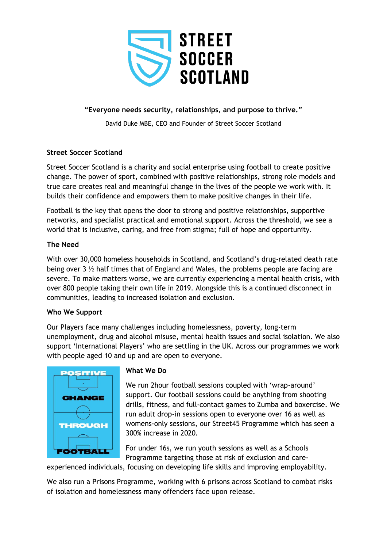

# **"Everyone needs security, relationships, and purpose to thrive."**

David Duke MBE, CEO and Founder of Street Soccer Scotland

## **Street Soccer Scotland**

Street Soccer Scotland is a charity and social enterprise using football to create positive change. The power of sport, combined with positive relationships, strong role models and true care creates real and meaningful change in the lives of the people we work with. It builds their confidence and empowers them to make positive changes in their life.

Football is the key that opens the door to strong and positive relationships, supportive networks, and specialist practical and emotional support. Across the threshold, we see a world that is inclusive, caring, and free from stigma; full of hope and opportunity.

## **The Need**

With over 30,000 homeless households in Scotland, and Scotland's drug-related death rate being over 3 ½ half times that of England and Wales, the problems people are facing are severe. To make matters worse, we are currently experiencing a mental health crisis, with over 800 people taking their own life in 2019. Alongside this is a continued disconnect in communities, leading to increased isolation and exclusion.

## **Who We Support**

Our Players face many challenges including homelessness, poverty, long-term unemployment, drug and alcohol misuse, mental health issues and social isolation. We also support 'International Players' who are settling in the UK. Across our programmes we work with people aged 10 and up and are open to everyone.



## **What We Do**

We run 2hour football sessions coupled with 'wrap-around' support. Our football sessions could be anything from shooting drills, fitness, and full-contact games to Zumba and boxercise. We run adult drop-in sessions open to everyone over 16 as well as womens-only sessions, our Street45 Programme which has seen a 300% increase in 2020.

For under 16s, we run youth sessions as well as a Schools Programme targeting those at risk of exclusion and care-

experienced individuals, focusing on developing life skills and improving employability.

We also run a Prisons Programme, working with 6 prisons across Scotland to combat risks of isolation and homelessness many offenders face upon release.